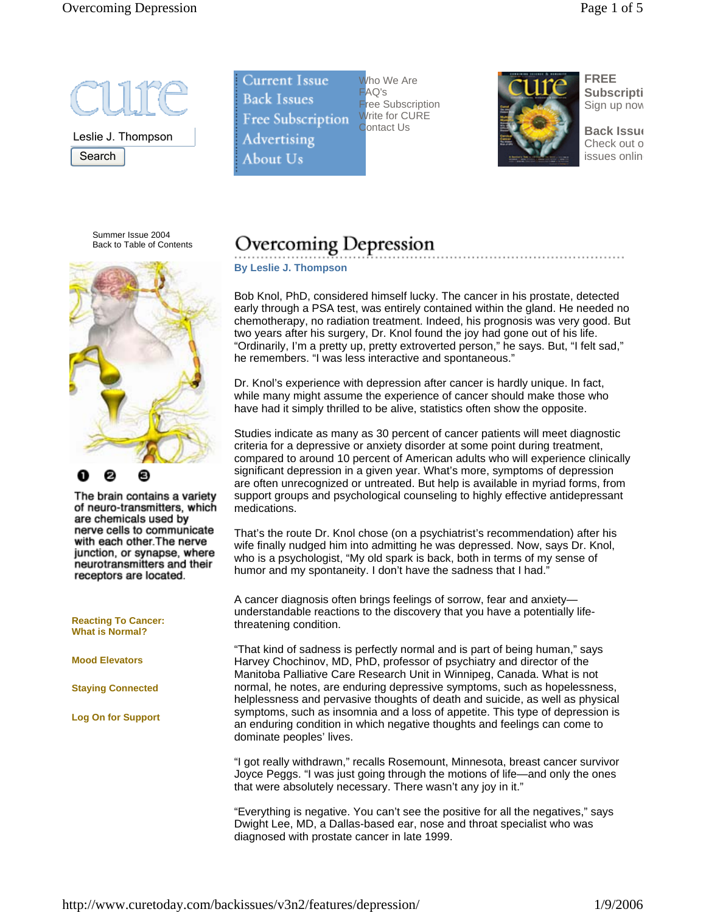

Leslie J. Thompson **Search** 

 $\overline{\phantom{a}}$ 

Summer Issue 2004 Back to Table of Contents



The brain contains a variety of neuro-transmitters, which are chemicals used by nerve cells to communicate with each other. The nerve junction, or synapse, where neurotransmitters and their receptors are located.

**Reacting To Cancer: What is Normal?**

**Mood Elevators**

**Staying Connected**

**Log On for Support** 

**Current Issue Back Issues Free Subscription Advertising** About Us

Who We Are  $AG's$ ree Subscription Write for CURE ontact Us



**FREE Subscripti** Sign up now

**Back Issue** Check out o issues onlin

# **Overcoming Depression**

**By Leslie J. Thompson**

Bob Knol, PhD, considered himself lucky. The cancer in his prostate, detected early through a PSA test, was entirely contained within the gland. He needed no chemotherapy, no radiation treatment. Indeed, his prognosis was very good. But two years after his surgery, Dr. Knol found the joy had gone out of his life. "Ordinarily, I'm a pretty up, pretty extroverted person," he says. But, "I felt sad," he remembers. "I was less interactive and spontaneous."

Dr. Knol's experience with depression after cancer is hardly unique. In fact, while many might assume the experience of cancer should make those who have had it simply thrilled to be alive, statistics often show the opposite.

Studies indicate as many as 30 percent of cancer patients will meet diagnostic criteria for a depressive or anxiety disorder at some point during treatment, compared to around 10 percent of American adults who will experience clinically significant depression in a given year. What's more, symptoms of depression are often unrecognized or untreated. But help is available in myriad forms, from support groups and psychological counseling to highly effective antidepressant medications.

That's the route Dr. Knol chose (on a psychiatrist's recommendation) after his wife finally nudged him into admitting he was depressed. Now, says Dr. Knol, who is a psychologist, "My old spark is back, both in terms of my sense of humor and my spontaneity. I don't have the sadness that I had.'

A cancer diagnosis often brings feelings of sorrow, fear and anxiety understandable reactions to the discovery that you have a potentially lifethreatening condition.

"That kind of sadness is perfectly normal and is part of being human," says Harvey Chochinov, MD, PhD, professor of psychiatry and director of the Manitoba Palliative Care Research Unit in Winnipeg, Canada. What is not normal, he notes, are enduring depressive symptoms, such as hopelessness, helplessness and pervasive thoughts of death and suicide, as well as physical symptoms, such as insomnia and a loss of appetite. This type of depression is an enduring condition in which negative thoughts and feelings can come to dominate peoples' lives.

"I got really withdrawn," recalls Rosemount, Minnesota, breast cancer survivor Joyce Peggs. "I was just going through the motions of life—and only the ones that were absolutely necessary. There wasn't any joy in it."

"Everything is negative. You can't see the positive for all the negatives," says Dwight Lee, MD, a Dallas-based ear, nose and throat specialist who was diagnosed with prostate cancer in late 1999.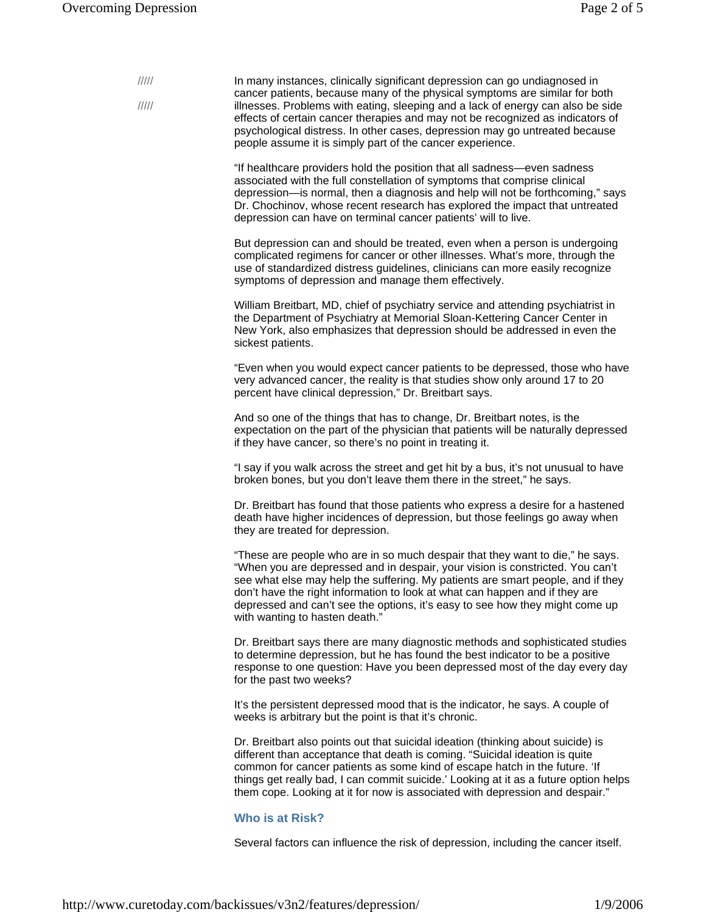| 11111<br>$\frac{1}{1}$ | In many instances, clinically significant depression can go undiagnosed in<br>cancer patients, because many of the physical symptoms are similar for both<br>illnesses. Problems with eating, sleeping and a lack of energy can also be side<br>effects of certain cancer therapies and may not be recognized as indicators of<br>psychological distress. In other cases, depression may go untreated because<br>people assume it is simply part of the cancer experience. |
|------------------------|----------------------------------------------------------------------------------------------------------------------------------------------------------------------------------------------------------------------------------------------------------------------------------------------------------------------------------------------------------------------------------------------------------------------------------------------------------------------------|
|                        | "If healthcare providers hold the position that all sadness—even sadness<br>associated with the full constellation of symptoms that comprise clinical<br>depression—is normal, then a diagnosis and help will not be forthcoming," says<br>Dr. Chochinov, whose recent research has explored the impact that untreated<br>depression can have on terminal cancer patients' will to live.                                                                                   |
|                        | But depression can and should be treated, even when a person is undergoing<br>complicated regimens for cancer or other illnesses. What's more, through the<br>use of standardized distress guidelines, clinicians can more easily recognize<br>symptoms of depression and manage them effectively.                                                                                                                                                                         |
|                        | William Breitbart, MD, chief of psychiatry service and attending psychiatrist in<br>the Department of Psychiatry at Memorial Sloan-Kettering Cancer Center in<br>New York, also emphasizes that depression should be addressed in even the<br>sickest patients.                                                                                                                                                                                                            |
|                        | "Even when you would expect cancer patients to be depressed, those who have<br>very advanced cancer, the reality is that studies show only around 17 to 20<br>percent have clinical depression," Dr. Breitbart says.                                                                                                                                                                                                                                                       |
|                        | And so one of the things that has to change, Dr. Breitbart notes, is the<br>expectation on the part of the physician that patients will be naturally depressed<br>if they have cancer, so there's no point in treating it.                                                                                                                                                                                                                                                 |
|                        | "I say if you walk across the street and get hit by a bus, it's not unusual to have<br>broken bones, but you don't leave them there in the street," he says.                                                                                                                                                                                                                                                                                                               |
|                        | Dr. Breitbart has found that those patients who express a desire for a hastened<br>death have higher incidences of depression, but those feelings go away when<br>they are treated for depression.                                                                                                                                                                                                                                                                         |
|                        | "These are people who are in so much despair that they want to die," he says.<br>"When you are depressed and in despair, your vision is constricted. You can't<br>see what else may help the suffering. My patients are smart people, and if they<br>don't have the right information to look at what can happen and if they are<br>depressed and can't see the options, it's easy to see how they might come up<br>with wanting to hasten death."                         |
|                        | Dr. Breitbart says there are many diagnostic methods and sophisticated studies<br>to determine depression, but he has found the best indicator to be a positive<br>response to one question: Have you been depressed most of the day every day<br>for the past two weeks?                                                                                                                                                                                                  |
|                        | It's the persistent depressed mood that is the indicator, he says. A couple of<br>weeks is arbitrary but the point is that it's chronic.                                                                                                                                                                                                                                                                                                                                   |
|                        | Dr. Breitbart also points out that suicidal ideation (thinking about suicide) is<br>different than acceptance that death is coming. "Suicidal ideation is quite<br>common for cancer patients as some kind of escape hatch in the future. 'If<br>things get really bad, I can commit suicide.' Looking at it as a future option helps<br>them cope. Looking at it for now is associated with depression and despair."                                                      |
|                        | <b>Who is at Risk?</b>                                                                                                                                                                                                                                                                                                                                                                                                                                                     |
|                        | Several factors can influence the risk of depression, including the cancer itself.                                                                                                                                                                                                                                                                                                                                                                                         |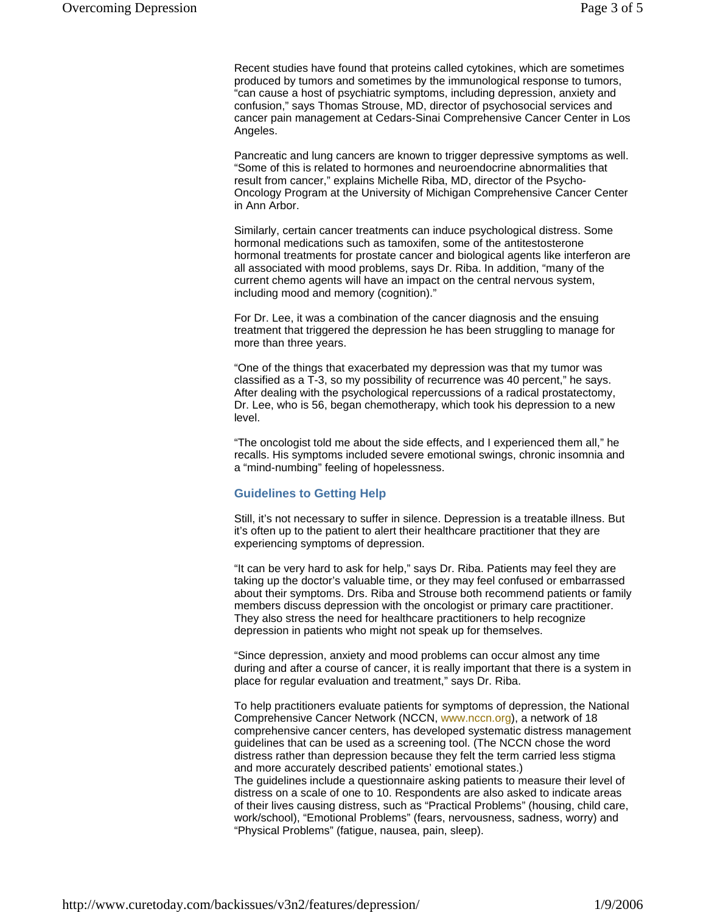Recent studies have found that proteins called cytokines, which are sometimes produced by tumors and sometimes by the immunological response to tumors, "can cause a host of psychiatric symptoms, including depression, anxiety and confusion," says Thomas Strouse, MD, director of psychosocial services and cancer pain management at Cedars-Sinai Comprehensive Cancer Center in Los Angeles.

Pancreatic and lung cancers are known to trigger depressive symptoms as well. "Some of this is related to hormones and neuroendocrine abnormalities that result from cancer," explains Michelle Riba, MD, director of the Psycho-Oncology Program at the University of Michigan Comprehensive Cancer Center in Ann Arbor.

Similarly, certain cancer treatments can induce psychological distress. Some hormonal medications such as tamoxifen, some of the antitestosterone hormonal treatments for prostate cancer and biological agents like interferon are all associated with mood problems, says Dr. Riba. In addition, "many of the current chemo agents will have an impact on the central nervous system, including mood and memory (cognition)."

For Dr. Lee, it was a combination of the cancer diagnosis and the ensuing treatment that triggered the depression he has been struggling to manage for more than three years.

"One of the things that exacerbated my depression was that my tumor was classified as a T-3, so my possibility of recurrence was 40 percent," he says. After dealing with the psychological repercussions of a radical prostatectomy, Dr. Lee, who is 56, began chemotherapy, which took his depression to a new level.

"The oncologist told me about the side effects, and I experienced them all," he recalls. His symptoms included severe emotional swings, chronic insomnia and a "mind-numbing" feeling of hopelessness.

### **Guidelines to Getting Help**

Still, it's not necessary to suffer in silence. Depression is a treatable illness. But it's often up to the patient to alert their healthcare practitioner that they are experiencing symptoms of depression.

"It can be very hard to ask for help," says Dr. Riba. Patients may feel they are taking up the doctor's valuable time, or they may feel confused or embarrassed about their symptoms. Drs. Riba and Strouse both recommend patients or family members discuss depression with the oncologist or primary care practitioner. They also stress the need for healthcare practitioners to help recognize depression in patients who might not speak up for themselves.

"Since depression, anxiety and mood problems can occur almost any time during and after a course of cancer, it is really important that there is a system in place for regular evaluation and treatment," says Dr. Riba.

To help practitioners evaluate patients for symptoms of depression, the National Comprehensive Cancer Network (NCCN, www.nccn.org), a network of 18 comprehensive cancer centers, has developed systematic distress management guidelines that can be used as a screening tool. (The NCCN chose the word distress rather than depression because they felt the term carried less stigma and more accurately described patients' emotional states.) The guidelines include a questionnaire asking patients to measure their level of distress on a scale of one to 10. Respondents are also asked to indicate areas of their lives causing distress, such as "Practical Problems" (housing, child care, work/school), "Emotional Problems" (fears, nervousness, sadness, worry) and "Physical Problems" (fatigue, nausea, pain, sleep).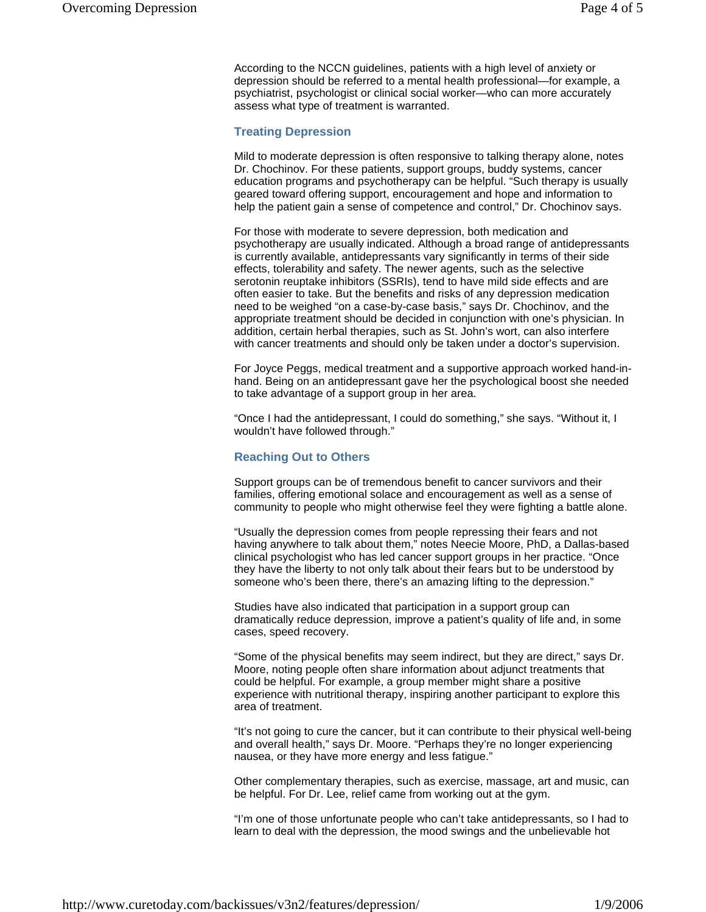According to the NCCN guidelines, patients with a high level of anxiety or depression should be referred to a mental health professional—for example, a psychiatrist, psychologist or clinical social worker—who can more accurately assess what type of treatment is warranted.

#### **Treating Depression**

Mild to moderate depression is often responsive to talking therapy alone, notes Dr. Chochinov. For these patients, support groups, buddy systems, cancer education programs and psychotherapy can be helpful. "Such therapy is usually geared toward offering support, encouragement and hope and information to help the patient gain a sense of competence and control," Dr. Chochinov says.

For those with moderate to severe depression, both medication and psychotherapy are usually indicated. Although a broad range of antidepressants is currently available, antidepressants vary significantly in terms of their side effects, tolerability and safety. The newer agents, such as the selective serotonin reuptake inhibitors (SSRIs), tend to have mild side effects and are often easier to take. But the benefits and risks of any depression medication need to be weighed "on a case-by-case basis," says Dr. Chochinov, and the appropriate treatment should be decided in conjunction with one's physician. In addition, certain herbal therapies, such as St. John's wort, can also interfere with cancer treatments and should only be taken under a doctor's supervision.

For Joyce Peggs, medical treatment and a supportive approach worked hand-inhand. Being on an antidepressant gave her the psychological boost she needed to take advantage of a support group in her area.

"Once I had the antidepressant, I could do something," she says. "Without it, I wouldn't have followed through."

#### **Reaching Out to Others**

Support groups can be of tremendous benefit to cancer survivors and their families, offering emotional solace and encouragement as well as a sense of community to people who might otherwise feel they were fighting a battle alone.

"Usually the depression comes from people repressing their fears and not having anywhere to talk about them," notes Neecie Moore, PhD, a Dallas-based clinical psychologist who has led cancer support groups in her practice. "Once they have the liberty to not only talk about their fears but to be understood by someone who's been there, there's an amazing lifting to the depression."

Studies have also indicated that participation in a support group can dramatically reduce depression, improve a patient's quality of life and, in some cases, speed recovery.

"Some of the physical benefits may seem indirect, but they are direct," says Dr. Moore, noting people often share information about adjunct treatments that could be helpful. For example, a group member might share a positive experience with nutritional therapy, inspiring another participant to explore this area of treatment.

"It's not going to cure the cancer, but it can contribute to their physical well-being and overall health," says Dr. Moore. "Perhaps they're no longer experiencing nausea, or they have more energy and less fatigue."

Other complementary therapies, such as exercise, massage, art and music, can be helpful. For Dr. Lee, relief came from working out at the gym.

"I'm one of those unfortunate people who can't take antidepressants, so I had to learn to deal with the depression, the mood swings and the unbelievable hot